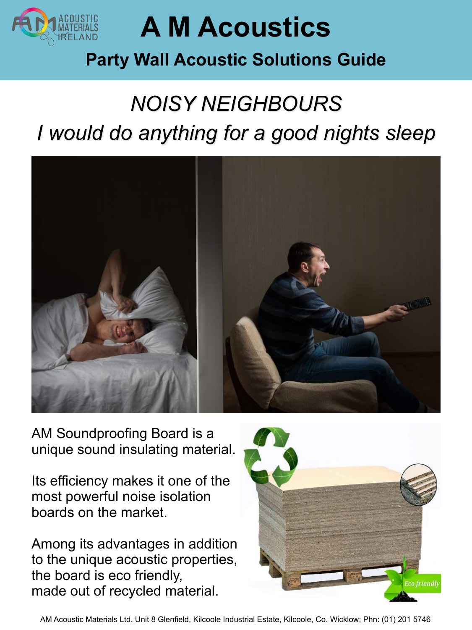

# **A M Acoustics**

## **Party Wall Acoustic Solutions Guide**

## *NOISY NEIGHBOURS I would do anything for a good nights sleep*



AM Soundproofing Board is a unique sound insulating material.

Its efficiency makes it one of the most powerful noise isolation boards on the market.

Among its advantages in addition to the unique acoustic properties, the board is eco friendly, made out of recycled material.



AM Acoustic Materials Ltd. Unit 8 Glenfield, Kilcoole Industrial Estate, Kilcoole, Co. Wicklow; Phn: (01) 201 5746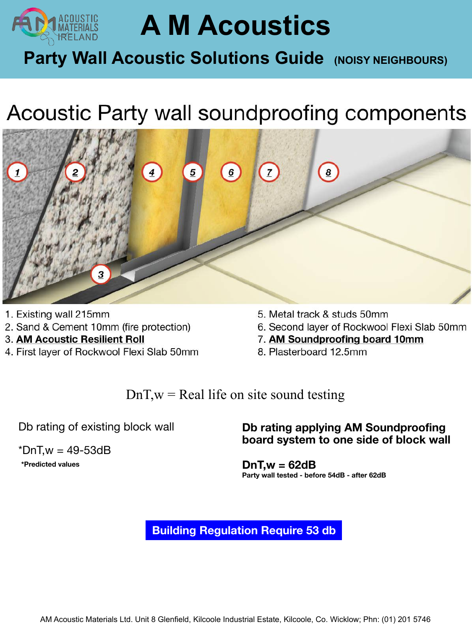

# **A M Acoustics**

**Party Wall Acoustic Solutions Guide (NOISY NEIGHBOURS)** 

## Acoustic Party wall soundproofing components



- 1. Existing wall 215mm
- 2. Sand & Cement 10mm (fire protection)
- 3. AM Acoustic Resilient Roll
- 4. First layer of Rockwool Flexi Slab 50mm
- 5. Metal track & studs 50mm
- 6. Second layer of Rockwool Flexi Slab 50mm
- 7. AM Soundproofing board 10mm
- 8. Plasterboard 12.5mm

 $DnT$ ,  $w$  = Real life on site sound testing

Db rating of existing block wall

 $*$ DnT,w = 49-53dB **\*Predicted values**

**Db rating applying AM Soundproofing board system to one side of block wall** 

**DnT,w = 62dB Party wall tested - before 54dB - after 62dB**

**Building Regulation Require 53 db**